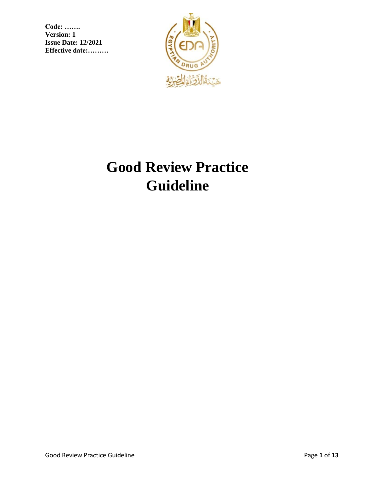

# **Good Review Practice Guideline**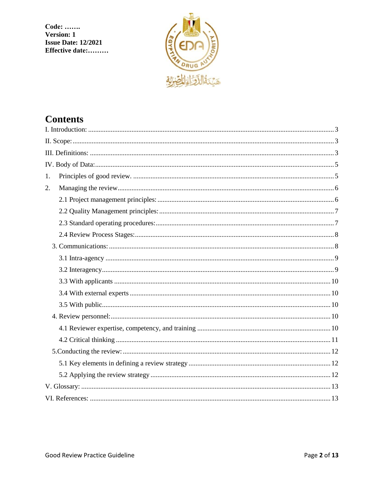**Code:** ....... **Version: 1 Issue Date: 12/2021** Effective date:.........



# **Contents**

| 1. |  |  |
|----|--|--|
| 2. |  |  |
|    |  |  |
|    |  |  |
|    |  |  |
|    |  |  |
|    |  |  |
|    |  |  |
|    |  |  |
|    |  |  |
|    |  |  |
|    |  |  |
|    |  |  |
|    |  |  |
|    |  |  |
|    |  |  |
|    |  |  |
|    |  |  |
|    |  |  |
|    |  |  |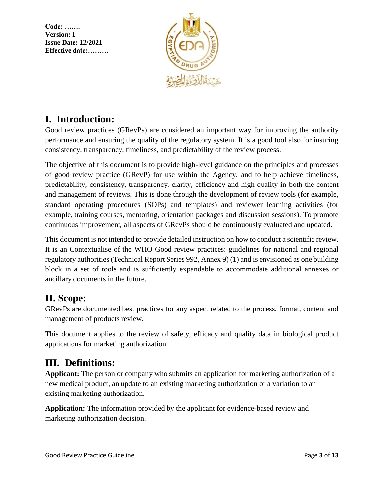

# <span id="page-2-0"></span>**I. Introduction:**

Good review practices (GRevPs) are considered an important way for improving the authority performance and ensuring the quality of the regulatory system. It is a good tool also for insuring consistency, transparency, timeliness, and predictability of the review process.

The objective of this document is to provide high-level guidance on the principles and processes of good review practice (GRevP) for use within the Agency, and to help achieve timeliness, predictability, consistency, transparency, clarity, efficiency and high quality in both the content and management of reviews. This is done through the development of review tools (for example, standard operating procedures (SOPs) and templates) and reviewer learning activities (for example, training courses, mentoring, orientation packages and discussion sessions). To promote continuous improvement, all aspects of GRevPs should be continuously evaluated and updated.

This document is not intended to provide detailed instruction on how to conduct a scientific review. It is an Contextualise of the WHO Good review practices: guidelines for national and regional regulatory authorities (Technical Report Series 992, Annex 9) (1) and is envisioned as one building block in a set of tools and is sufficiently expandable to accommodate additional annexes or ancillary documents in the future.

# <span id="page-2-1"></span>**II. Scope:**

GRevPs are documented best practices for any aspect related to the process, format, content and management of products review.

This document applies to the review of safety, efficacy and quality data in biological product applications for marketing authorization.

# <span id="page-2-2"></span>**III. Definitions:**

**Applicant:** The person or company who submits an application for marketing authorization of a new medical product, an update to an existing marketing authorization or a variation to an existing marketing authorization.

**Application:** The information provided by the applicant for evidence-based review and marketing authorization decision.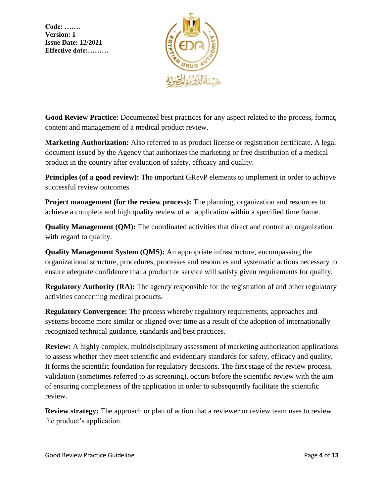

**Good Review Practice:** Documented best practices for any aspect related to the process, format, content and management of a medical product review.

**Marketing Authorization:** Also referred to as product license or registration certificate. A legal document issued by the Agency that authorizes the marketing or free distribution of a medical product in the country after evaluation of safety, efficacy and quality.

**Principles (of a good review):** The important GRevP elements to implement in order to achieve successful review outcomes.

**Project management (for the review process):** The planning, organization and resources to achieve a complete and high quality review of an application within a specified time frame.

**Quality Management (QM):** The coordinated activities that direct and control an organization with regard to quality.

**Quality Management System (QMS):** An appropriate infrastructure, encompassing the organizational structure, procedures, processes and resources and systematic actions necessary to ensure adequate confidence that a product or service will satisfy given requirements for quality.

**Regulatory Authority (RA):** The agency responsible for the registration of and other regulatory activities concerning medical products.

**Regulatory Convergence:** The process whereby regulatory requirements, approaches and systems become more similar or aligned over time as a result of the adoption of internationally recognized technical guidance, standards and best practices.

**Review:** A highly complex, multidisciplinary assessment of marketing authorization applications to assess whether they meet scientific and evidentiary standards for safety, efficacy and quality. It forms the scientific foundation for regulatory decisions. The first stage of the review process, validation (sometimes referred to as screening), occurs before the scientific review with the aim of ensuring completeness of the application in order to subsequently facilitate the scientific review.

**Review strategy:** The approach or plan of action that a reviewer or review team uses to review the product's application.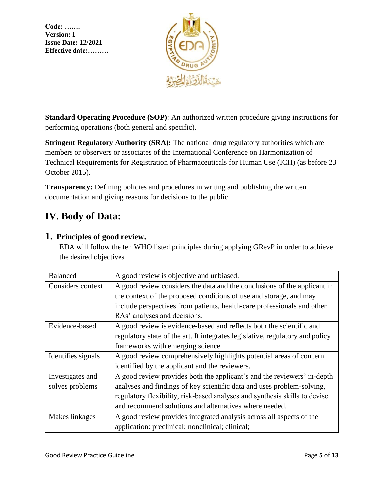

**Standard Operating Procedure (SOP):** An authorized written procedure giving instructions for performing operations (both general and specific).

**Stringent Regulatory Authority (SRA):** The national drug regulatory authorities which are members or observers or associates of the International Conference on Harmonization of Technical Requirements for Registration of Pharmaceuticals for Human Use (ICH) (as before 23 October 2015).

**Transparency:** Defining policies and procedures in writing and publishing the written documentation and giving reasons for decisions to the public.

# <span id="page-4-0"></span>**IV. Body of Data:**

### <span id="page-4-1"></span>**1. Principles of good review.**

EDA will follow the ten WHO listed principles during applying GRevP in order to achieve the desired objectives

| <b>Balanced</b>    | A good review is objective and unbiased.                                      |
|--------------------|-------------------------------------------------------------------------------|
| Considers context  | A good review considers the data and the conclusions of the applicant in      |
|                    | the context of the proposed conditions of use and storage, and may            |
|                    | include perspectives from patients, health-care professionals and other       |
|                    | RAs' analyses and decisions.                                                  |
| Evidence-based     | A good review is evidence-based and reflects both the scientific and          |
|                    | regulatory state of the art. It integrates legislative, regulatory and policy |
|                    | frameworks with emerging science.                                             |
| Identifies signals | A good review comprehensively highlights potential areas of concern           |
|                    | identified by the applicant and the reviewers.                                |
| Investigates and   | A good review provides both the applicant's and the reviewers' in-depth       |
| solves problems    | analyses and findings of key scientific data and uses problem-solving,        |
|                    | regulatory flexibility, risk-based analyses and synthesis skills to devise    |
|                    | and recommend solutions and alternatives where needed.                        |
| Makes linkages     | A good review provides integrated analysis across all aspects of the          |
|                    | application: preclinical; nonclinical; clinical;                              |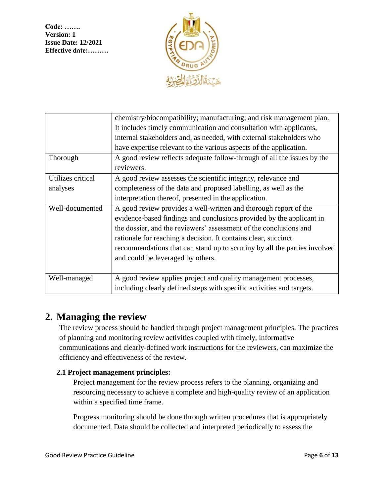

| chemistry/biocompatibility; manufacturing; and risk management plan.      |
|---------------------------------------------------------------------------|
| It includes timely communication and consultation with applicants,        |
| internal stakeholders and, as needed, with external stakeholders who      |
| have expertise relevant to the various aspects of the application.        |
| A good review reflects adequate follow-through of all the issues by the   |
| reviewers.                                                                |
| A good review assesses the scientific integrity, relevance and            |
| completeness of the data and proposed labelling, as well as the           |
| interpretation thereof, presented in the application.                     |
| A good review provides a well-written and thorough report of the          |
| evidence-based findings and conclusions provided by the applicant in      |
| the dossier, and the reviewers' assessment of the conclusions and         |
| rationale for reaching a decision. It contains clear, succinct            |
| recommendations that can stand up to scrutiny by all the parties involved |
| and could be leveraged by others.                                         |
|                                                                           |
| A good review applies project and quality management processes,           |
| including clearly defined steps with specific activities and targets.     |
|                                                                           |

## <span id="page-5-0"></span>**2. Managing the review**

The review process should be handled through project management principles. The practices of planning and monitoring review activities coupled with timely, informative communications and clearly-defined work instructions for the reviewers, can maximize the efficiency and effectiveness of the review.

#### <span id="page-5-1"></span>**2.1 Project management principles:**

Project management for the review process refers to the planning, organizing and resourcing necessary to achieve a complete and high-quality review of an application within a specified time frame.

Progress monitoring should be done through written procedures that is appropriately documented. Data should be collected and interpreted periodically to assess the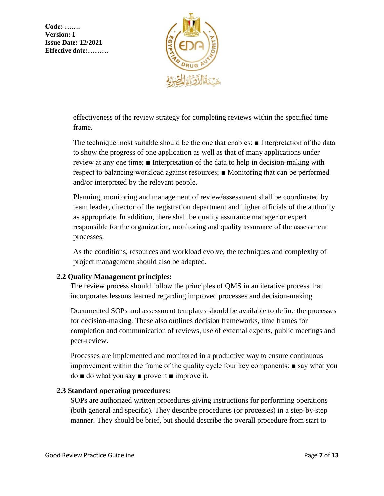

effectiveness of the review strategy for completing reviews within the specified time frame.

The technique most suitable should be the one that enables: ■ Interpretation of the data to show the progress of one application as well as that of many applications under review at any one time; ■ Interpretation of the data to help in decision-making with respect to balancing workload against resources; ■ Monitoring that can be performed and/or interpreted by the relevant people.

Planning, monitoring and management of review/assessment shall be coordinated by team leader, director of the registration department and higher officials of the authority as appropriate. In addition, there shall be quality assurance manager or expert responsible for the organization, monitoring and quality assurance of the assessment processes.

As the conditions, resources and workload evolve, the techniques and complexity of project management should also be adapted.

#### <span id="page-6-0"></span>**2.2 Quality Management principles:**

The review process should follow the principles of QMS in an iterative process that incorporates lessons learned regarding improved processes and decision-making.

Documented SOPs and assessment templates should be available to define the processes for decision-making. These also outlines decision frameworks, time frames for completion and communication of reviews, use of external experts, public meetings and peer-review.

Processes are implemented and monitored in a productive way to ensure continuous improvement within the frame of the quality cycle four key components: ■ say what you do ■ do what you say ■ prove it ■ improve it.

#### <span id="page-6-1"></span>**2.3 Standard operating procedures:**

SOPs are authorized written procedures giving instructions for performing operations (both general and specific). They describe procedures (or processes) in a step-by-step manner. They should be brief, but should describe the overall procedure from start to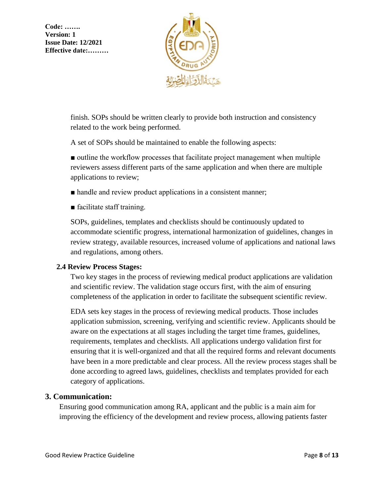

finish. SOPs should be written clearly to provide both instruction and consistency related to the work being performed.

A set of SOPs should be maintained to enable the following aspects:

■ outline the workflow processes that facilitate project management when multiple reviewers assess different parts of the same application and when there are multiple applications to review;

- handle and review product applications in a consistent manner;
- facilitate staff training.

SOPs, guidelines, templates and checklists should be continuously updated to accommodate scientific progress, international harmonization of guidelines, changes in review strategy, available resources, increased volume of applications and national laws and regulations, among others.

#### <span id="page-7-0"></span>**2.4 Review Process Stages:**

Two key stages in the process of reviewing medical product applications are validation and scientific review. The validation stage occurs first, with the aim of ensuring completeness of the application in order to facilitate the subsequent scientific review.

EDA sets key stages in the process of reviewing medical products. Those includes application submission, screening, verifying and scientific review. Applicants should be aware on the expectations at all stages including the target time frames, guidelines, requirements, templates and checklists. All applications undergo validation first for ensuring that it is well-organized and that all the required forms and relevant documents have been in a more predictable and clear process. All the review process stages shall be done according to agreed laws, guidelines, checklists and templates provided for each category of applications.

#### <span id="page-7-1"></span>**3. Communication:**

Ensuring good communication among RA, applicant and the public is a main aim for improving the efficiency of the development and review process, allowing patients faster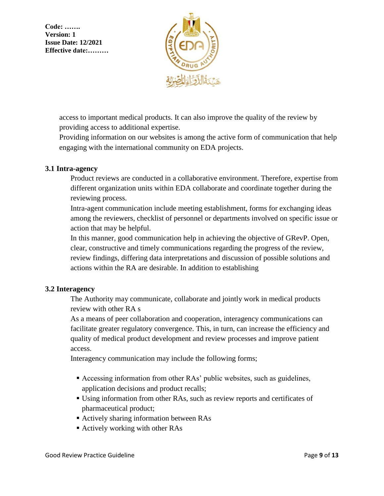

access to important medical products. It can also improve the quality of the review by providing access to additional expertise.

Providing information on our websites is among the active form of communication that help engaging with the international community on EDA projects.

#### <span id="page-8-0"></span>**3.1 Intra-agency**

Product reviews are conducted in a collaborative environment. Therefore, expertise from different organization units within EDA collaborate and coordinate together during the reviewing process.

Intra-agent communication include meeting establishment, forms for exchanging ideas among the reviewers, checklist of personnel or departments involved on specific issue or action that may be helpful.

In this manner, good communication help in achieving the objective of GRevP. Open, clear, constructive and timely communications regarding the progress of the review, review findings, differing data interpretations and discussion of possible solutions and actions within the RA are desirable. In addition to establishing

#### <span id="page-8-1"></span>**3.2 Interagency**

The Authority may communicate, collaborate and jointly work in medical products review with other RA s

As a means of peer collaboration and cooperation, interagency communications can facilitate greater regulatory convergence. This, in turn, can increase the efficiency and quality of medical product development and review processes and improve patient access.

Interagency communication may include the following forms;

- Accessing information from other RAs' public websites, such as guidelines, application decisions and product recalls;
- Using information from other RAs, such as review reports and certificates of pharmaceutical product;
- Actively sharing information between RAs
- Actively working with other RAs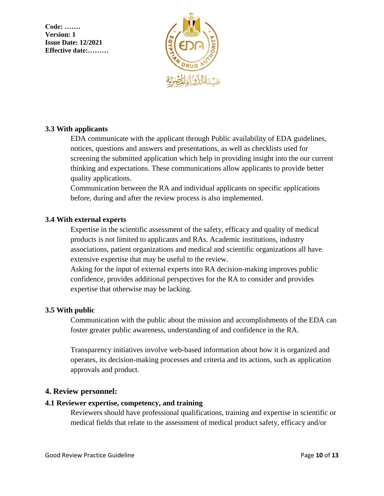

#### <span id="page-9-0"></span>**3.3 With applicants**

EDA communicate with the applicant through Public availability of EDA guidelines, notices, questions and answers and presentations, as well as checklists used for screening the submitted application which help in providing insight into the our current thinking and expectations. These communications allow applicants to provide better quality applications.

Communication between the RA and individual applicants on specific applications before, during and after the review process is also implemented.

#### <span id="page-9-1"></span>**3.4 With external experts**

Expertise in the scientific assessment of the safety, efficacy and quality of medical products is not limited to applicants and RAs. Academic institutions, industry associations, patient organizations and medical and scientific organizations all have extensive expertise that may be useful to the review.

Asking for the input of external experts into RA decision-making improves public confidence, provides additional perspectives for the RA to consider and provides expertise that otherwise may be lacking.

#### <span id="page-9-2"></span>**3.5 With public**

Communication with the public about the mission and accomplishments of the EDA can foster greater public awareness, understanding of and confidence in the RA.

Transparency initiatives involve web-based information about how it is organized and operates, its decision-making processes and criteria and its actions, such as application approvals and product.

#### <span id="page-9-3"></span>**4. Review personnel:**

#### <span id="page-9-4"></span>**4.1 Reviewer expertise, competency, and training**

Reviewers should have professional qualifications, training and expertise in scientific or medical fields that relate to the assessment of medical product safety, efficacy and/or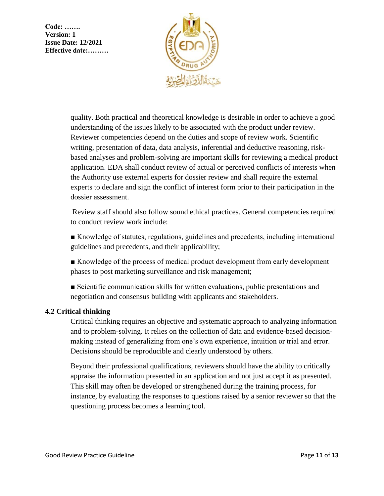

quality. Both practical and theoretical knowledge is desirable in order to achieve a good understanding of the issues likely to be associated with the product under review. Reviewer competencies depend on the duties and scope of review work. Scientific writing, presentation of data, data analysis, inferential and deductive reasoning, riskbased analyses and problem-solving are important skills for reviewing a medical product application. EDA shall conduct review of actual or perceived conflicts of interests when the Authority use external experts for dossier review and shall require the external experts to declare and sign the conflict of interest form prior to their participation in the dossier assessment.

Review staff should also follow sound ethical practices. General competencies required to conduct review work include:

■ Knowledge of statutes, regulations, guidelines and precedents, including international guidelines and precedents, and their applicability;

■ Knowledge of the process of medical product development from early development phases to post marketing surveillance and risk management;

■ Scientific communication skills for written evaluations, public presentations and negotiation and consensus building with applicants and stakeholders.

#### <span id="page-10-0"></span>**4.2 Critical thinking**

Critical thinking requires an objective and systematic approach to analyzing information and to problem-solving. It relies on the collection of data and evidence-based decisionmaking instead of generalizing from one's own experience, intuition or trial and error. Decisions should be reproducible and clearly understood by others.

Beyond their professional qualifications, reviewers should have the ability to critically appraise the information presented in an application and not just accept it as presented. This skill may often be developed or strengthened during the training process, for instance, by evaluating the responses to questions raised by a senior reviewer so that the questioning process becomes a learning tool.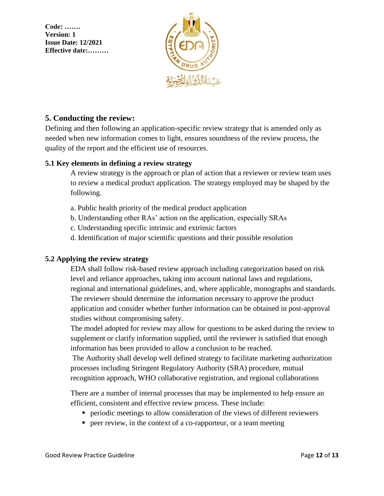

### <span id="page-11-0"></span>**5. Conducting the review:**

Defining and then following an application-specific review strategy that is amended only as needed when new information comes to light, ensures soundness of the review process, the quality of the report and the efficient use of resources.

#### <span id="page-11-1"></span>**5.1 Key elements in defining a review strategy**

A review strategy is the approach or plan of action that a reviewer or review team uses to review a medical product application. The strategy employed may be shaped by the following.

- a. Public health priority of the medical product application
- b. Understanding other RAs' action on the application, especially SRAs
- c. Understanding specific intrinsic and extrinsic factors
- d. Identification of major scientific questions and their possible resolution

#### <span id="page-11-2"></span>**5.2 Applying the review strategy**

EDA shall follow risk-based review approach including categorization based on risk level and reliance approaches, taking into account national laws and regulations, regional and international guidelines, and, where applicable, monographs and standards. The reviewer should determine the information necessary to approve the product application and consider whether further information can be obtained in post-approval studies without compromising safety.

The model adopted for review may allow for questions to be asked during the review to supplement or clarify information supplied, until the reviewer is satisfied that enough information has been provided to allow a conclusion to be reached.

The Authority shall develop well defined strategy to facilitate marketing authorization processes including Stringent Regulatory Authority (SRA) procedure, mutual recognition approach, WHO collaborative registration, and regional collaborations

There are a number of internal processes that may be implemented to help ensure an efficient, consistent and effective review process. These include:

- periodic meetings to allow consideration of the views of different reviewers
- peer review, in the context of a co-rapporteur, or a team meeting